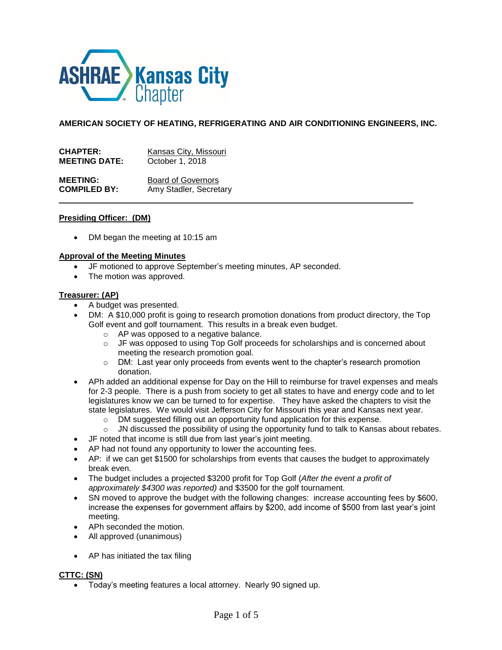

**AMERICAN SOCIETY OF HEATING, REFRIGERATING AND AIR CONDITIONING ENGINEERS, INC.**

| <b>CHAPTER:</b>      | Kansas City, Missouri     |
|----------------------|---------------------------|
| <b>MEETING DATE:</b> | October 1, 2018           |
| <b>MEETING:</b>      | <b>Board of Governors</b> |
| <b>COMPILED BY:</b>  | Amy Stadler, Secretary    |

#### **Presiding Officer: (DM)**

DM began the meeting at 10:15 am

#### **Approval of the Meeting Minutes**

- JF motioned to approve September's meeting minutes, AP seconded.
- The motion was approved.

### **Treasurer: (AP)**

- A budget was presented.
- DM: A \$10,000 profit is going to research promotion donations from product directory, the Top Golf event and golf tournament. This results in a break even budget.
	- o AP was opposed to a negative balance.
	- $\circ$  JF was opposed to using Top Golf proceeds for scholarships and is concerned about meeting the research promotion goal.
	- $\circ$  DM: Last year only proceeds from events went to the chapter's research promotion donation.
- APh added an additional expense for Day on the Hill to reimburse for travel expenses and meals for 2-3 people. There is a push from society to get all states to have and energy code and to let legislatures know we can be turned to for expertise. They have asked the chapters to visit the state legislatures. We would visit Jefferson City for Missouri this year and Kansas next year.
	- o DM suggested filling out an opportunity fund application for this expense.
	- $\circ$  JN discussed the possibility of using the opportunity fund to talk to Kansas about rebates.
- JF noted that income is still due from last year's joint meeting.
- AP had not found any opportunity to lower the accounting fees.
- AP: if we can get \$1500 for scholarships from events that causes the budget to approximately break even.
- The budget includes a projected \$3200 profit for Top Golf (*After the event a profit of approximately \$4300 was reported)* and \$3500 for the golf tournament.
- SN moved to approve the budget with the following changes: increase accounting fees by \$600, increase the expenses for government affairs by \$200, add income of \$500 from last year's joint meeting.
- APh seconded the motion.
- All approved (unanimous)
- AP has initiated the tax filing

# **CTTC: (SN)**

Today's meeting features a local attorney. Nearly 90 signed up.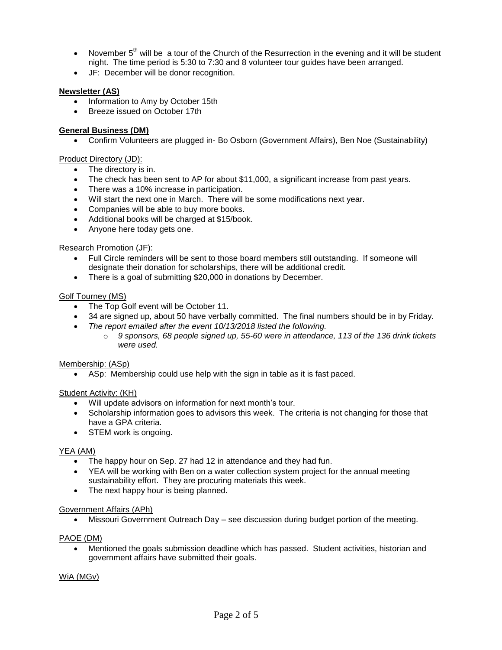- $\bullet$  November 5<sup>th</sup> will be a tour of the Church of the Resurrection in the evening and it will be student night. The time period is 5:30 to 7:30 and 8 volunteer tour guides have been arranged.
- JF: December will be donor recognition.

# **Newsletter (AS)**

- Information to Amy by October 15th
- Breeze issued on October 17th

# **General Business (DM)**

Confirm Volunteers are plugged in- Bo Osborn (Government Affairs), Ben Noe (Sustainability)

# Product Directory (JD):

- The directory is in.
- The check has been sent to AP for about \$11,000, a significant increase from past years.
- There was a 10% increase in participation.
- Will start the next one in March. There will be some modifications next year.
- Companies will be able to buy more books.
- Additional books will be charged at \$15/book.
- Anyone here today gets one.

# Research Promotion (JF):

- Full Circle reminders will be sent to those board members still outstanding. If someone will designate their donation for scholarships, there will be additional credit.
- There is a goal of submitting \$20,000 in donations by December.

# Golf Tourney (MS)

- The Top Golf event will be October 11.
- 34 are signed up, about 50 have verbally committed. The final numbers should be in by Friday.
- *The report emailed after the event 10/13/2018 listed the following.*
	- o *9 sponsors, 68 people signed up, 55-60 were in attendance, 113 of the 136 drink tickets were used.*

# Membership: (ASp)

ASp: Membership could use help with the sign in table as it is fast paced.

# Student Activity: (KH)

- Will update advisors on information for next month's tour.
- Scholarship information goes to advisors this week. The criteria is not changing for those that have a GPA criteria.
- STEM work is ongoing.

# YEA (AM)

- The happy hour on Sep. 27 had 12 in attendance and they had fun.
- YEA will be working with Ben on a water collection system project for the annual meeting sustainability effort. They are procuring materials this week.
- The next happy hour is being planned.

#### Government Affairs (APh)

Missouri Government Outreach Day – see discussion during budget portion of the meeting.

# PAOE (DM)

 Mentioned the goals submission deadline which has passed. Student activities, historian and government affairs have submitted their goals.

# WiA (MGv)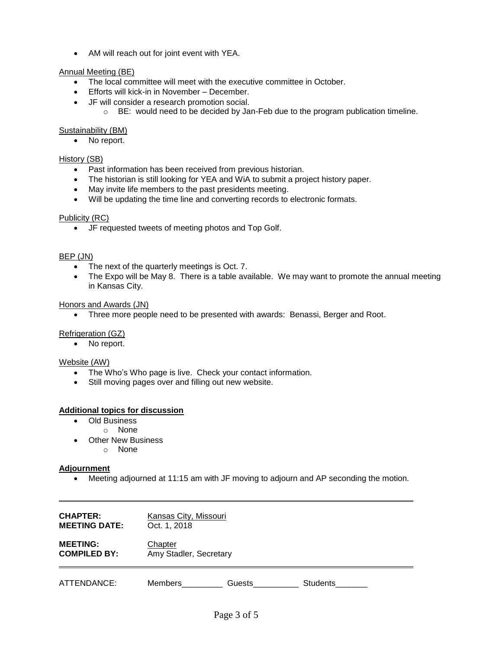AM will reach out for joint event with YEA.

### Annual Meeting (BE)

- The local committee will meet with the executive committee in October.
- Efforts will kick-in in November December.
- JF will consider a research promotion social.
	- $\circ$  BE: would need to be decided by Jan-Feb due to the program publication timeline.

#### Sustainability (BM)

No report.

### History (SB)

- Past information has been received from previous historian.
- The historian is still looking for YEA and WiA to submit a project history paper.
- May invite life members to the past presidents meeting.
- Will be updating the time line and converting records to electronic formats.

### Publicity (RC)

JF requested tweets of meeting photos and Top Golf.

#### BEP (JN)

- The next of the quarterly meetings is Oct. 7.
- The Expo will be May 8. There is a table available. We may want to promote the annual meeting in Kansas City.

#### Honors and Awards (JN)

Three more people need to be presented with awards: Benassi, Berger and Root.

#### Refrigeration (GZ)

• No report.

### Website (AW)

- The Who's Who page is live. Check your contact information.
- Still moving pages over and filling out new website.

### **Additional topics for discussion**

- Old Business
- o None
- Other New Business
	- o None

#### **Adjournment**

Meeting adjourned at 11:15 am with JF moving to adjourn and AP seconding the motion.

| <b>CHAPTER:</b>      | Kansas City, Missouri  |        |                 |  |
|----------------------|------------------------|--------|-----------------|--|
| <b>MEETING DATE:</b> | Oct. 1, 2018           |        |                 |  |
| <b>MEETING:</b>      | Chapter                |        |                 |  |
| <b>COMPILED BY:</b>  | Amy Stadler, Secretary |        |                 |  |
| ATTENDANCE:          | Members                | Guests | <b>Students</b> |  |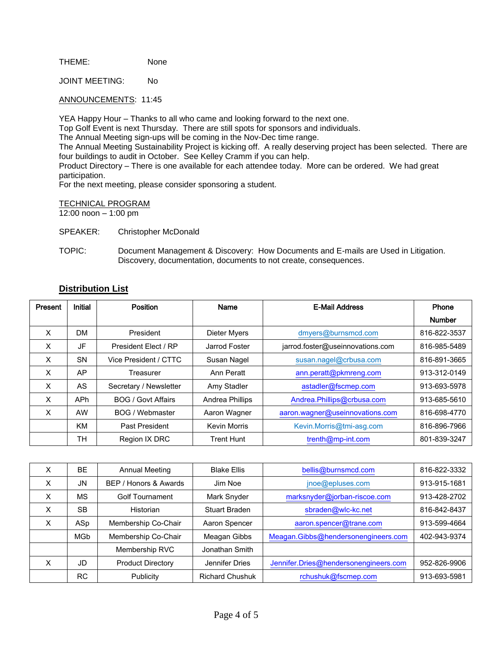THEME: None

JOINT MEETING: No

ANNOUNCEMENTS: 11:45

YEA Happy Hour – Thanks to all who came and looking forward to the next one.

Top Golf Event is next Thursday. There are still spots for sponsors and individuals.

The Annual Meeting sign-ups will be coming in the Nov-Dec time range.

The Annual Meeting Sustainability Project is kicking off. A really deserving project has been selected. There are four buildings to audit in October. See Kelley Cramm if you can help.

Product Directory – There is one available for each attendee today. More can be ordered. We had great participation.

For the next meeting, please consider sponsoring a student.

TECHNICAL PROGRAM

12:00 noon – 1:00 pm

SPEAKER: Christopher McDonald

TOPIC: Document Management & Discovery: How Documents and E-mails are Used in Litigation. Discovery, documentation, documents to not create, consequences.

# **Distribution List**

| Present | <b>Initial</b> | <b>Position</b>           | Name                | <b>E-Mail Address</b>            | Phone         |
|---------|----------------|---------------------------|---------------------|----------------------------------|---------------|
|         |                |                           |                     |                                  | <b>Number</b> |
| X       | <b>DM</b>      | President                 | Dieter Myers        | dmyers@burnsmcd.com              | 816-822-3537  |
| X       | JF             | President Elect / RP      | Jarrod Foster       | jarrod.foster@useinnovations.com | 816-985-5489  |
| X       | <b>SN</b>      | Vice President / CTTC     | Susan Nagel         | susan.nagel@crbusa.com           | 816-891-3665  |
| X       | AP             | Treasurer                 | Ann Peratt          | ann.peratt@pkmreng.com           | 913-312-0149  |
| X       | <b>AS</b>      | Secretary / Newsletter    | Amy Stadler         | astadler@fscmep.com              | 913-693-5978  |
| X       | <b>APh</b>     | <b>BOG / Govt Affairs</b> | Andrea Phillips     | Andrea.Phillips@crbusa.com       | 913-685-5610  |
| X       | AW             | BOG / Webmaster           | Aaron Wagner        | aaron.wagner@useinnovations.com  | 816-698-4770  |
|         | <b>KM</b>      | Past President            | <b>Kevin Morris</b> | Kevin.Morris@tmi-asg.com         | 816-896-7966  |
|         | <b>TH</b>      | Region IX DRC             | <b>Trent Hunt</b>   | trenth@mp-int.com                | 801-839-3247  |

| X | <b>BE</b>  | <b>Annual Meeting</b>    | <b>Blake Ellis</b>     | bellis@burnsmcd.com                   | 816-822-3332 |
|---|------------|--------------------------|------------------------|---------------------------------------|--------------|
| X | <b>JN</b>  | BEP / Honors & Awards    | Jim Noe                | jnoe@epluses.com                      | 913-915-1681 |
| X | <b>MS</b>  | <b>Golf Tournament</b>   | Mark Snyder            | marksnyder@jorban-riscoe.com          | 913-428-2702 |
| X | <b>SB</b>  | Historian                | <b>Stuart Braden</b>   | sbraden@wlc-kc.net                    | 816-842-8437 |
| X | ASp        | Membership Co-Chair      | Aaron Spencer          | aaron.spencer@trane.com               | 913-599-4664 |
|   | <b>MGb</b> | Membership Co-Chair      | Meagan Gibbs           | Meagan.Gibbs@hendersonengineers.com   | 402-943-9374 |
|   |            | Membership RVC           | Jonathan Smith         |                                       |              |
| X | JD.        | <b>Product Directory</b> | Jennifer Dries         | Jennifer.Dries@hendersonengineers.com | 952-826-9906 |
|   | <b>RC</b>  | Publicity                | <b>Richard Chushuk</b> | rchushuk@fscmep.com                   | 913-693-5981 |